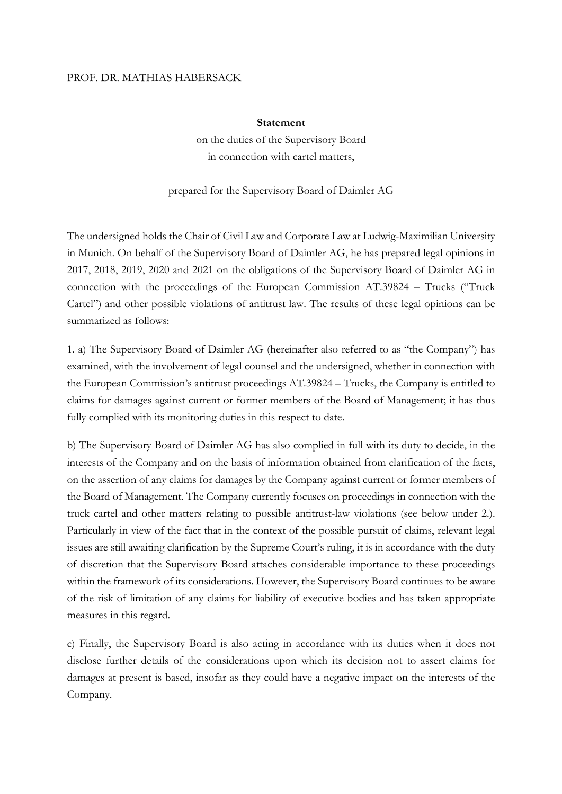## PROF. DR. MATHIAS HABERSACK

## **Statement**

on the duties of the Supervisory Board in connection with cartel matters,

## prepared for the Supervisory Board of Daimler AG

The undersigned holds the Chair of Civil Law and Corporate Law at Ludwig-Maximilian University in Munich. On behalf of the Supervisory Board of Daimler AG, he has prepared legal opinions in 2017, 2018, 2019, 2020 and 2021 on the obligations of the Supervisory Board of Daimler AG in connection with the proceedings of the European Commission AT.39824 – Trucks ("Truck Cartel") and other possible violations of antitrust law. The results of these legal opinions can be summarized as follows:

1. a) The Supervisory Board of Daimler AG (hereinafter also referred to as "the Company") has examined, with the involvement of legal counsel and the undersigned, whether in connection with the European Commission's antitrust proceedings AT.39824 – Trucks, the Company is entitled to claims for damages against current or former members of the Board of Management; it has thus fully complied with its monitoring duties in this respect to date.

b) The Supervisory Board of Daimler AG has also complied in full with its duty to decide, in the interests of the Company and on the basis of information obtained from clarification of the facts, on the assertion of any claims for damages by the Company against current or former members of the Board of Management. The Company currently focuses on proceedings in connection with the truck cartel and other matters relating to possible antitrust-law violations (see below under 2.). Particularly in view of the fact that in the context of the possible pursuit of claims, relevant legal issues are still awaiting clarification by the Supreme Court's ruling, it is in accordance with the duty of discretion that the Supervisory Board attaches considerable importance to these proceedings within the framework of its considerations. However, the Supervisory Board continues to be aware of the risk of limitation of any claims for liability of executive bodies and has taken appropriate measures in this regard.

c) Finally, the Supervisory Board is also acting in accordance with its duties when it does not disclose further details of the considerations upon which its decision not to assert claims for damages at present is based, insofar as they could have a negative impact on the interests of the Company.